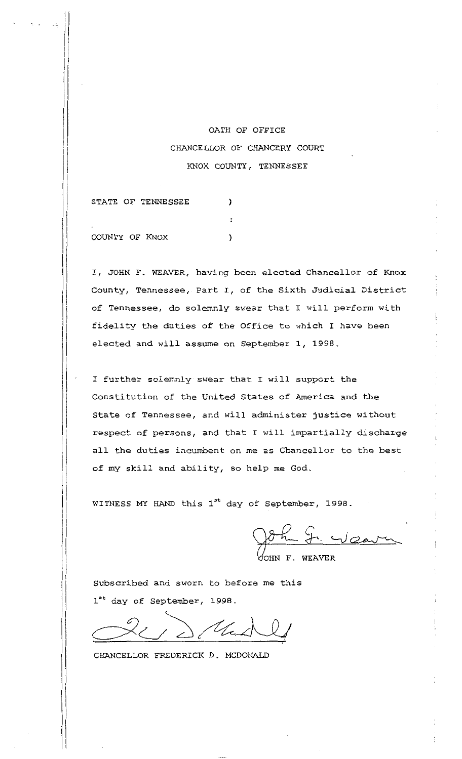## OATH OF OFFICE CHANCELLOR OF CHANCERY COURT KNOX COUNTY, TENNESSEE

 $\lambda$ 

 $\ddot{\cdot}$ 

STATE OF TENNESSEE

COUNTY OF KNOX )

I 1[

I

 $\prod_{i=1}^n$ 

I, JOHN F. WEAVER, having been elected Chancellor of Knox County, Tennessee, Part I, of the Sixth Judicial District of Tennessee, do solemnly swear that I will perform with fidelity the duties of the Office to which I have been elected and will assume on September 1, 1998.

I further solemnly swear that I will support the Constitution of the United States of America and the State of Tennessee, and will administer justice without respect of persons, and that I will impartially discharge all the duties incumbent on me as Chancellor to the best of my skill and ability, so help me God.

WITNESS MY HAND this 1<sup>st</sup> day of September, 1998.

John F. Weaver

OHN F. WEAVER

Subscribed and sworn to before me this 1<sup>st</sup> day of September, 1998.

 $dt$ 

CHANCELLOR FREDERICK D. MCDONALD